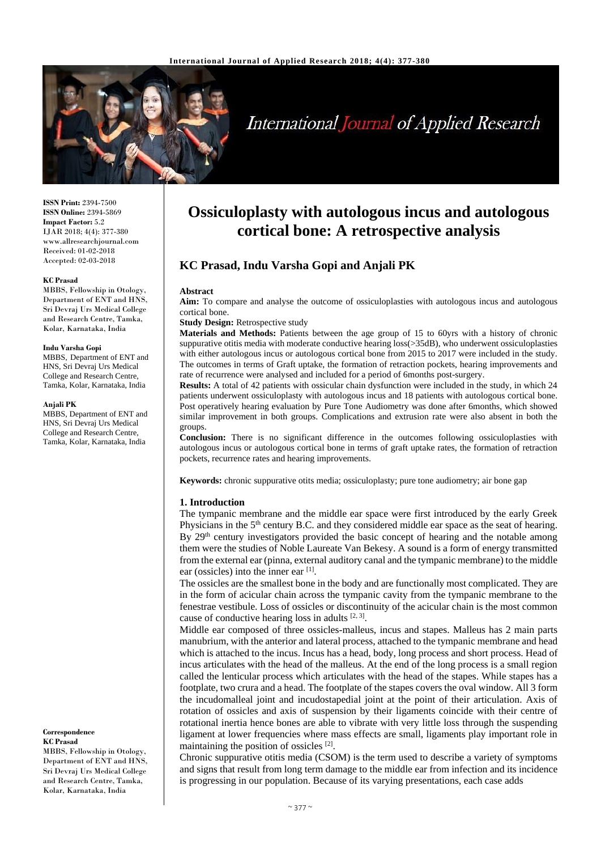

# **International Journal of Applied Research**

**ISSN Print:** 2394-7500 **ISSN Online:** 2394-5869 **Impact Factor:** 5.2 IJAR 2018; 4(4): 377-380 www.allresearchjournal.com Received: 01-02-2018 Accepted: 02-03-2018

#### **KC Prasad**

MBBS, Fellowship in Otology, Department of ENT and HNS, Sri Devraj Urs Medical College and Research Centre, Tamka, Kolar, Karnataka, India

#### **Indu Varsha Gopi**

MBBS, Department of ENT and HNS, Sri Devraj Urs Medical College and Research Centre, Tamka, Kolar, Karnataka, India

#### **Anjali PK**

MBBS, Department of ENT and HNS, Sri Devraj Urs Medical College and Research Centre, Tamka, Kolar, Karnataka, India

**Correspondence KC Prasad**

MBBS, Fellowship in Otology, Department of ENT and HNS, Sri Devraj Urs Medical College and Research Centre, Tamka, Kolar, Karnataka, India

## **Ossiculoplasty with autologous incus and autologous cortical bone: A retrospective analysis**

## **KC Prasad, Indu Varsha Gopi and Anjali PK**

#### **Abstract**

**Aim:** To compare and analyse the outcome of ossiculoplasties with autologous incus and autologous cortical bone.

#### **Study Design:** Retrospective study

**Materials and Methods:** Patients between the age group of 15 to 60yrs with a history of chronic suppurative otitis media with moderate conductive hearing loss(>35dB), who underwent ossiculoplasties with either autologous incus or autologous cortical bone from 2015 to 2017 were included in the study. The outcomes in terms of Graft uptake, the formation of retraction pockets, hearing improvements and rate of recurrence were analysed and included for a period of 6months post-surgery.

**Results:** A total of 42 patients with ossicular chain dysfunction were included in the study, in which 24 patients underwent ossiculoplasty with autologous incus and 18 patients with autologous cortical bone. Post operatively hearing evaluation by Pure Tone Audiometry was done after 6months, which showed similar improvement in both groups. Complications and extrusion rate were also absent in both the groups.

**Conclusion:** There is no significant difference in the outcomes following ossiculoplasties with autologous incus or autologous cortical bone in terms of graft uptake rates, the formation of retraction pockets, recurrence rates and hearing improvements.

**Keywords:** chronic suppurative otits media; ossiculoplasty; pure tone audiometry; air bone gap

#### **1. Introduction**

The tympanic membrane and the middle ear space were first introduced by the early Greek Physicians in the  $5<sup>th</sup>$  century B.C. and they considered middle ear space as the seat of hearing. By  $29<sup>th</sup>$  century investigators provided the basic concept of hearing and the notable among them were the studies of Noble Laureate Van Bekesy. A sound is a form of energy transmitted from the external ear (pinna, external auditory canal and the tympanic membrane) to the middle ear (ossicles) into the inner ear [1].

The ossicles are the smallest bone in the body and are functionally most complicated. They are in the form of acicular chain across the tympanic cavity from the tympanic membrane to the fenestrae vestibule. Loss of ossicles or discontinuity of the acicular chain is the most common cause of conductive hearing loss in adults  $[2, 3]$ .

Middle ear composed of three ossicles-malleus, incus and stapes. Malleus has 2 main parts manubrium, with the anterior and lateral process, attached to the tympanic membrane and head which is attached to the incus. Incus has a head, body, long process and short process. Head of incus articulates with the head of the malleus. At the end of the long process is a small region called the lenticular process which articulates with the head of the stapes. While stapes has a footplate, two crura and a head. The footplate of the stapes covers the oval window. All 3 form the incudomalleal joint and incudostapedial joint at the point of their articulation. Axis of rotation of ossicles and axis of suspension by their ligaments coincide with their centre of rotational inertia hence bones are able to vibrate with very little loss through the suspending ligament at lower frequencies where mass effects are small, ligaments play important role in maintaining the position of ossicles [2].

Chronic suppurative otitis media (CSOM) is the term used to describe a variety of symptoms and signs that result from long term damage to the middle ear from infection and its incidence is progressing in our population. Because of its varying presentations, each case adds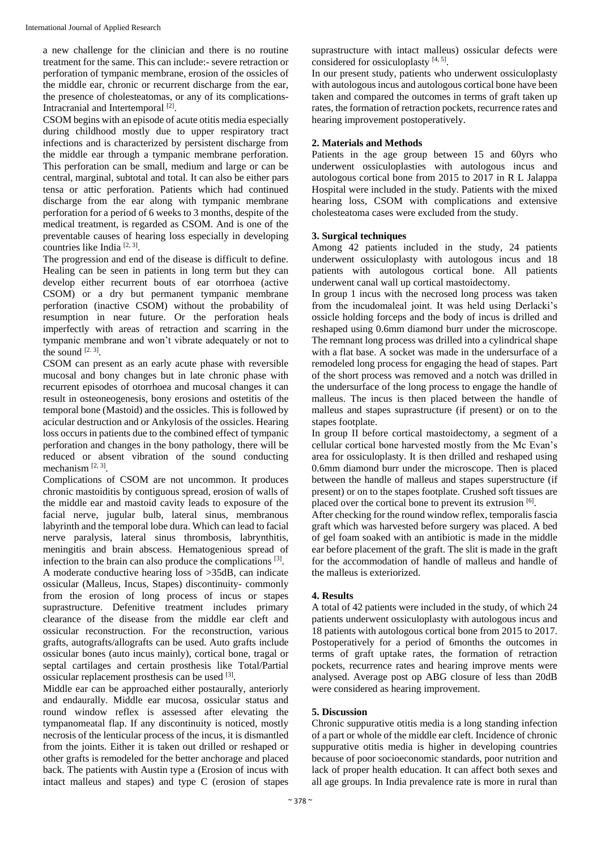a new challenge for the clinician and there is no routine treatment for the same. This can include:- severe retraction or perforation of tympanic membrane, erosion of the ossicles of the middle ear, chronic or recurrent discharge from the ear, the presence of cholesteatomas, or any of its complications-Intracranial and Intertemporal<sup>[2]</sup>.

CSOM begins with an episode of acute otitis media especially during childhood mostly due to upper respiratory tract infections and is characterized by persistent discharge from the middle ear through a tympanic membrane perforation. This perforation can be small, medium and large or can be central, marginal, subtotal and total. It can also be either pars tensa or attic perforation. Patients which had continued discharge from the ear along with tympanic membrane perforation for a period of 6 weeks to 3 months, despite of the medical treatment, is regarded as CSOM. And is one of the preventable causes of hearing loss especially in developing countries like India [2, 3] .

The progression and end of the disease is difficult to define. Healing can be seen in patients in long term but they can develop either recurrent bouts of ear otorrhoea (active CSOM) or a dry but permanent tympanic membrane perforation (inactive CSOM) without the probability of resumption in near future. Or the perforation heals imperfectly with areas of retraction and scarring in the tympanic membrane and won't vibrate adequately or not to the sound  $[2.3]$ .

CSOM can present as an early acute phase with reversible mucosal and bony changes but in late chronic phase with recurrent episodes of otorrhoea and mucosal changes it can result in osteoneogenesis, bony erosions and ostetitis of the temporal bone (Mastoid) and the ossicles. This is followed by acicular destruction and or Ankylosis of the ossicles. Hearing loss occurs in patients due to the combined effect of tympanic perforation and changes in the bony pathology, there will be reduced or absent vibration of the sound conducting mechanism [2, 3].

Complications of CSOM are not uncommon. It produces chronic mastoiditis by contiguous spread, erosion of walls of the middle ear and mastoid cavity leads to exposure of the facial nerve, jugular bulb, lateral sinus, membranous labyrinth and the temporal lobe dura. Which can lead to facial nerve paralysis, lateral sinus thrombosis, labrynthitis, meningitis and brain abscess. Hematogenious spread of infection to the brain can also produce the complications [3].

A moderate conductive hearing loss of >35dB, can indicate ossicular (Malleus, Incus, Stapes) discontinuity- commonly from the erosion of long process of incus or stapes suprastructure. Defenitive treatment includes primary clearance of the disease from the middle ear cleft and ossicular reconstruction. For the reconstruction, various grafts, autografts/allografts can be used. Auto grafts include ossicular bones (auto incus mainly), cortical bone, tragal or septal cartilages and certain prosthesis like Total/Partial ossicular replacement prosthesis can be used [3].

Middle ear can be approached either postaurally, anteriorly and endaurally. Middle ear mucosa, ossicular status and round window reflex is assessed after elevating the tympanomeatal flap. If any discontinuity is noticed, mostly necrosis of the lenticular process of the incus, it is dismantled from the joints. Either it is taken out drilled or reshaped or other grafts is remodeled for the better anchorage and placed back. The patients with Austin type a (Erosion of incus with intact malleus and stapes) and type C (erosion of stapes

suprastructure with intact malleus) ossicular defects were considered for ossiculoplasty [4, 5].

In our present study, patients who underwent ossiculoplasty with autologous incus and autologous cortical bone have been taken and compared the outcomes in terms of graft taken up rates, the formation of retraction pockets, recurrence rates and hearing improvement postoperatively.

## **2. Materials and Methods**

Patients in the age group between 15 and 60yrs who underwent ossiculoplasties with autologous incus and autologous cortical bone from 2015 to 2017 in R L Jalappa Hospital were included in the study. Patients with the mixed hearing loss, CSOM with complications and extensive cholesteatoma cases were excluded from the study.

## **3. Surgical techniques**

Among 42 patients included in the study, 24 patients underwent ossiculoplasty with autologous incus and 18 patients with autologous cortical bone. All patients underwent canal wall up cortical mastoidectomy.

In group 1 incus with the necrosed long process was taken from the incudomaleal joint. It was held using Derlacki's ossicle holding forceps and the body of incus is drilled and reshaped using 0.6mm diamond burr under the microscope. The remnant long process was drilled into a cylindrical shape with a flat base. A socket was made in the undersurface of a remodeled long process for engaging the head of stapes. Part of the short process was removed and a notch was drilled in the undersurface of the long process to engage the handle of malleus. The incus is then placed between the handle of malleus and stapes suprastructure (if present) or on to the stapes footplate.

In group II before cortical mastoidectomy, a segment of a cellular cortical bone harvested mostly from the Mc Evan's area for ossiculoplasty. It is then drilled and reshaped using 0.6mm diamond burr under the microscope. Then is placed between the handle of malleus and stapes superstructure (if present) or on to the stapes footplate. Crushed soft tissues are placed over the cortical bone to prevent its extrusion [6].

After checking for the round window reflex, temporalis fascia graft which was harvested before surgery was placed. A bed of gel foam soaked with an antibiotic is made in the middle ear before placement of the graft. The slit is made in the graft for the accommodation of handle of malleus and handle of the malleus is exteriorized.

## **4. Results**

A total of 42 patients were included in the study, of which 24 patients underwent ossiculoplasty with autologous incus and 18 patients with autologous cortical bone from 2015 to 2017. Postoperatively for a period of 6months the outcomes in terms of graft uptake rates, the formation of retraction pockets, recurrence rates and hearing improve ments were analysed. Average post op ABG closure of less than 20dB were considered as hearing improvement.

#### **5. Discussion**

Chronic suppurative otitis media is a long standing infection of a part or whole of the middle ear cleft. Incidence of chronic suppurative otitis media is higher in developing countries because of poor socioeconomic standards, poor nutrition and lack of proper health education. It can affect both sexes and all age groups. In India prevalence rate is more in rural than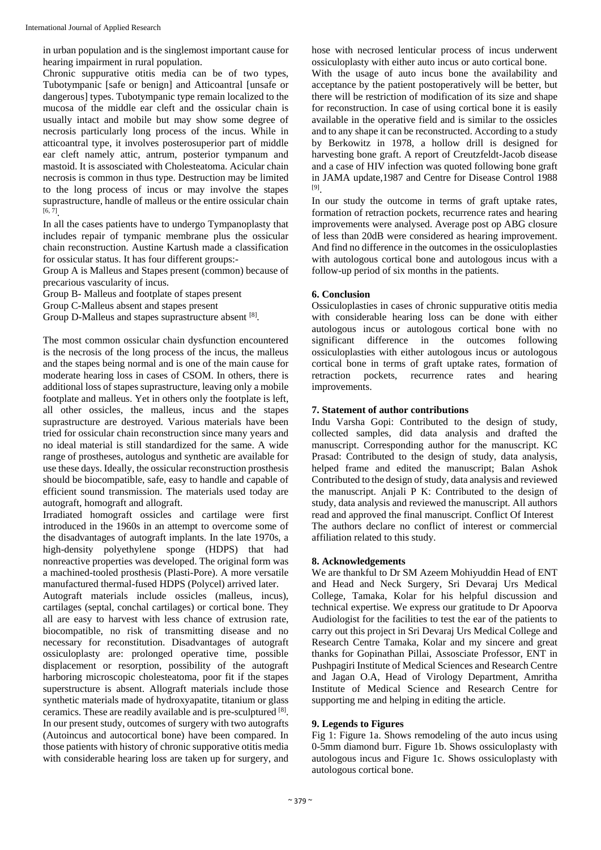in urban population and is the singlemost important cause for hearing impairment in rural population.

Chronic suppurative otitis media can be of two types, Tubotympanic [safe or benign] and Atticoantral [unsafe or dangerous] types. Tubotympanic type remain localized to the mucosa of the middle ear cleft and the ossicular chain is usually intact and mobile but may show some degree of necrosis particularly long process of the incus. While in atticoantral type, it involves posterosuperior part of middle ear cleft namely attic, antrum, posterior tympanum and mastoid. It is assosciated with Cholesteatoma. Acicular chain necrosis is common in thus type. Destruction may be limited to the long process of incus or may involve the stapes suprastructure, handle of malleus or the entire ossicular chain  $[6, 7]$ <sub>.</sub>

In all the cases patients have to undergo Tympanoplasty that includes repair of tympanic membrane plus the ossicular chain reconstruction. Austine Kartush made a classification for ossicular status. It has four different groups:-

Group A is Malleus and Stapes present (common) because of precarious vascularity of incus.

Group B- Malleus and footplate of stapes present

Group C-Malleus absent and stapes present

Group D-Malleus and stapes suprastructure absent [8].

The most common ossicular chain dysfunction encountered is the necrosis of the long process of the incus, the malleus and the stapes being normal and is one of the main cause for moderate hearing loss in cases of CSOM. In others, there is additional loss of stapes suprastructure, leaving only a mobile footplate and malleus. Yet in others only the footplate is left, all other ossicles, the malleus, incus and the stapes suprastructure are destroyed. Various materials have been tried for ossicular chain reconstruction since many years and no ideal material is still standardized for the same. A wide range of prostheses, autologus and synthetic are available for use these days. Ideally, the ossicular reconstruction prosthesis should be biocompatible, safe, easy to handle and capable of efficient sound transmission. The materials used today are autograft, homograft and allograft.

Irradiated homograft ossicles and cartilage were first introduced in the 1960s in an attempt to overcome some of the disadvantages of autograft implants. In the late 1970s, a high-density polyethylene sponge (HDPS) that had nonreactive properties was developed. The original form was a machined-tooled prosthesis (Plasti-Pore). A more versatile manufactured thermal-fused HDPS (Polycel) arrived later.

Autograft materials include ossicles (malleus, incus), cartilages (septal, conchal cartilages) or cortical bone. They all are easy to harvest with less chance of extrusion rate, biocompatible, no risk of transmitting disease and no necessary for reconstitution. Disadvantages of autograft ossiculoplasty are: prolonged operative time, possible displacement or resorption, possibility of the autograft harboring microscopic cholesteatoma, poor fit if the stapes superstructure is absent. Allograft materials include those synthetic materials made of hydroxyapatite, titanium or glass ceramics. These are readily available and is pre-sculptured [8]. In our present study, outcomes of surgery with two autografts (Autoincus and autocortical bone) have been compared. In those patients with history of chronic supporative otitis media with considerable hearing loss are taken up for surgery, and hose with necrosed lenticular process of incus underwent ossiculoplasty with either auto incus or auto cortical bone. With the usage of auto incus bone the availability and acceptance by the patient postoperatively will be better, but there will be restriction of modification of its size and shape for reconstruction. In case of using cortical bone it is easily available in the operative field and is similar to the ossicles and to any shape it can be reconstructed. According to a study by Berkowitz in 1978, a hollow drill is designed for harvesting bone graft. A report of Creutzfeldt-Jacob disease and a case of HIV infection was quoted following bone graft in JAMA update,1987 and Centre for Disease Control 1988 [9] .

In our study the outcome in terms of graft uptake rates, formation of retraction pockets, recurrence rates and hearing improvements were analysed. Average post op ABG closure of less than 20dB were considered as hearing improvement. And find no difference in the outcomes in the ossiculoplasties with autologous cortical bone and autologous incus with a follow-up period of six months in the patients.

#### **6. Conclusion**

Ossiculoplasties in cases of chronic suppurative otitis media with considerable hearing loss can be done with either autologous incus or autologous cortical bone with no significant difference in the outcomes following ossiculoplasties with either autologous incus or autologous cortical bone in terms of graft uptake rates, formation of retraction pockets, recurrence rates and hearing improvements.

#### **7. Statement of author contributions**

Indu Varsha Gopi: Contributed to the design of study, collected samples, did data analysis and drafted the manuscript. Corresponding author for the manuscript. KC Prasad: Contributed to the design of study, data analysis, helped frame and edited the manuscript; Balan Ashok Contributed to the design of study, data analysis and reviewed the manuscript. Anjali P K: Contributed to the design of study, data analysis and reviewed the manuscript. All authors read and approved the final manuscript. Conflict Of Interest The authors declare no conflict of interest or commercial affiliation related to this study.

#### **8. Acknowledgements**

We are thankful to Dr SM Azeem Mohiyuddin Head of ENT and Head and Neck Surgery, Sri Devaraj Urs Medical College, Tamaka, Kolar for his helpful discussion and technical expertise. We express our gratitude to Dr Apoorva Audiologist for the facilities to test the ear of the patients to carry out this project in Sri Devaraj Urs Medical College and Research Centre Tamaka, Kolar and my sincere and great thanks for Gopinathan Pillai, Assosciate Professor, ENT in Pushpagiri Institute of Medical Sciences and Research Centre and Jagan O.A, Head of Virology Department, Amritha Institute of Medical Science and Research Centre for supporting me and helping in editing the article.

#### **9. Legends to Figures**

Fig 1: Figure 1a. Shows remodeling of the auto incus using 0-5mm diamond burr. Figure 1b. Shows ossiculoplasty with autologous incus and Figure 1c. Shows ossiculoplasty with autologous cortical bone.